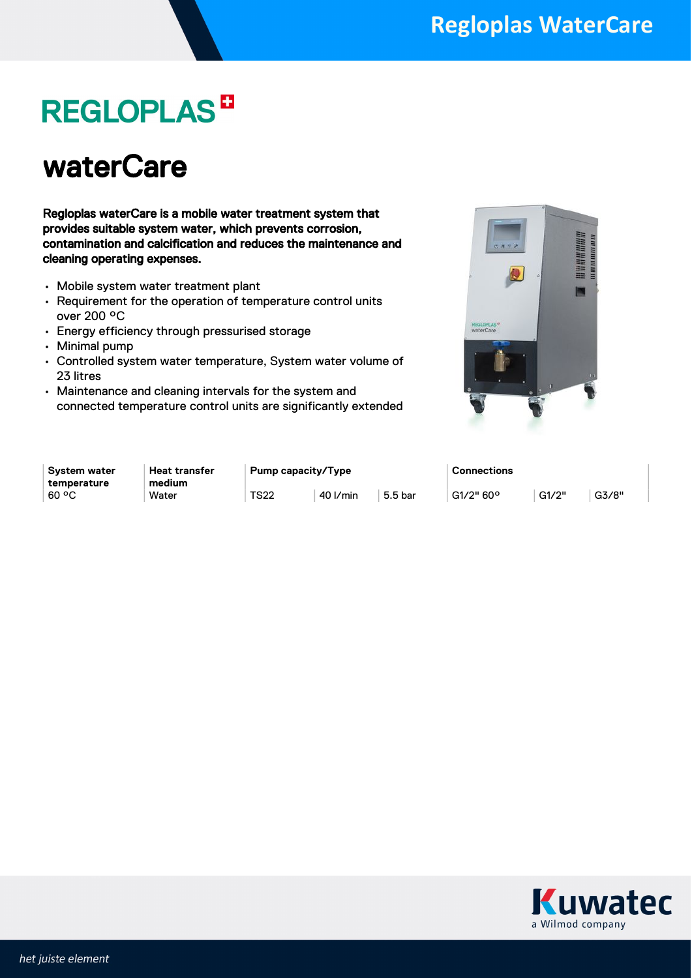## **REGLOPLAS<sup>B</sup>**

### waterCare

Regloplas waterCare is a mobile water treatment system that provides suitable system water, which prevents corrosion, contamination and calcification and reduces the maintenance and cleaning operating expenses.

- Mobile system water treatment plant
- Requirement for the operation of temperature control units over 200 °C
- Energy efficiency through pressurised storage
- Minimal pump
- Controlled system water temperature, System water volume of 23 litres
- Maintenance and cleaning intervals for the system and connected temperature control units are significantly extended



| <b>System water</b>    | <b>Heat transfer</b> | Pump capacity/Type |          | <b>Connections</b> |           |       |       |
|------------------------|----------------------|--------------------|----------|--------------------|-----------|-------|-------|
| temperature<br>$60°$ C | medium<br>Water      | <b>TS22</b>        | 40 I/min | 5.5 bar            | G1/2" 60° | G1/2" | G3/8" |

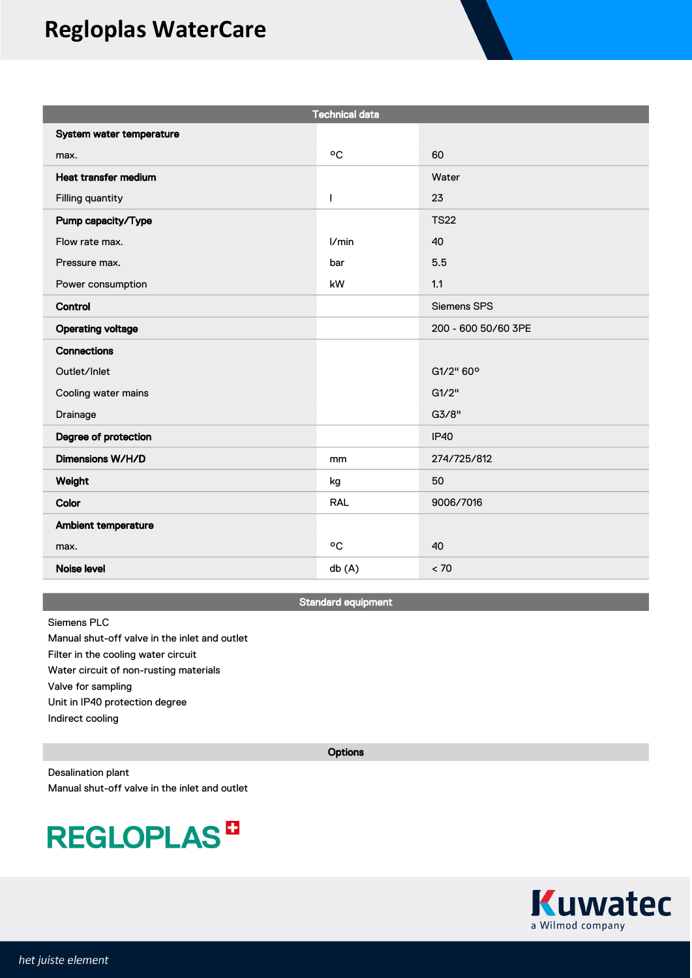### **Regloplas WaterCare**

| <b>Technical data</b>    |            |                     |  |  |
|--------------------------|------------|---------------------|--|--|
| System water temperature |            |                     |  |  |
| max.                     | °C         | 60                  |  |  |
| Heat transfer medium     |            | Water               |  |  |
| Filling quantity         | T          | 23                  |  |  |
| Pump capacity/Type       |            | <b>TS22</b>         |  |  |
| Flow rate max.           | 1/min      | 40                  |  |  |
| Pressure max.            | bar        | 5.5                 |  |  |
| Power consumption        | kW         | 1.1                 |  |  |
| Control                  |            | Siemens SPS         |  |  |
| <b>Operating voltage</b> |            | 200 - 600 50/60 3PE |  |  |
| <b>Connections</b>       |            |                     |  |  |
| Outlet/Inlet             |            | G1/2" 60°           |  |  |
| Cooling water mains      |            | G1/2"               |  |  |
| Drainage                 |            | G3/8"               |  |  |
| Degree of protection     |            | <b>IP40</b>         |  |  |
| Dimensions W/H/D         | mm         | 274/725/812         |  |  |
| Weight                   | kg         | 50                  |  |  |
| Color                    | <b>RAL</b> | 9006/7016           |  |  |
| Ambient temperature      |            |                     |  |  |
| max.                     | °C         | 40                  |  |  |
| <b>Noise level</b>       | db(A)      | < 70                |  |  |

Standard equipment

#### Siemens PLC

Manual shut-off valve in the inlet and outlet Filter in the cooling water circuit Water circuit of non-rusting materials Valve for sampling Unit in IP40 protection degree Indirect cooling

**Options** 

Desalination plant Manual shut-off valve in the inlet and outlet

## **REGLOPLAS<sup>D</sup>**